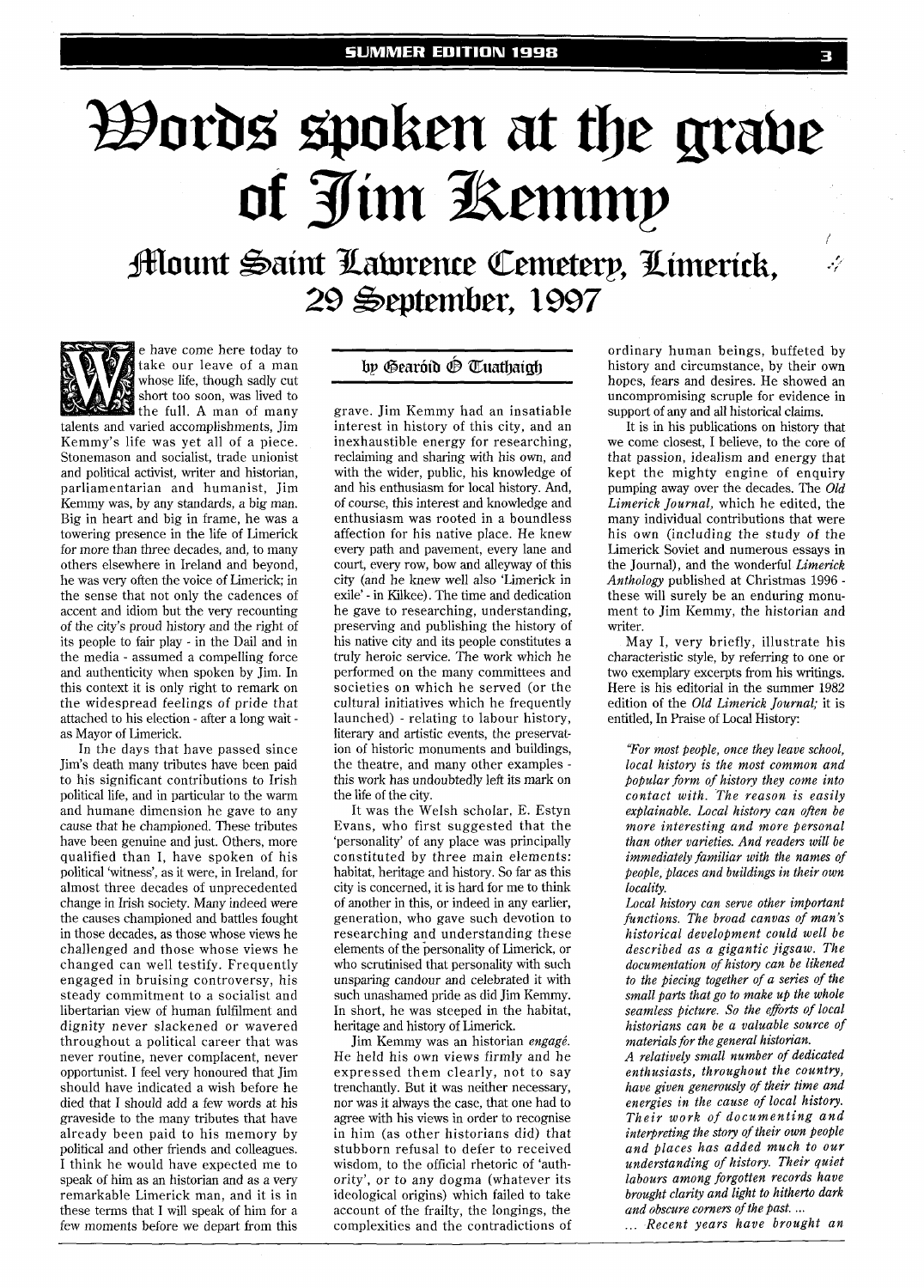## *Dords* spoken at the grave Of Jim Kemmy<br>Alount Saint Laturence Cemeterp, Limerick,

29 September, 2997



e have come here today to take our leave of a man whose life, though sadly cut short too soon, was lived to the full. A man of many talents and varied accomplishments, Jirn

Kemmy's life was yet all of a piece. Stonemason and socialist, trade unionist and political activist, writer and historian, parliamentarian and humanist, Jim Kemmy was, by any standards, a big man. Big in heart and big in frame, he was a towering presence in the life of Limerick for more than three decades, and, to many others elsewhere in Ireland and beyond, he was very often the voice of Limerick; in the sense that not only the cadences of accent and idiom but the very recounting of the city's proud history and the right of its people to fair play - in the Dail and in the media - assumed a compelling force and authenticity when spoken by Jim. In this context it is only right to remark on the widespread feelings of pride that attached to his election - after a long wait as Mayor of Limerick.

In the days that have passed since Jim's death many tributes have been paid to his significant contributions to Irish political life, and in particular to the warm and humane dimension he gave to any cause that he championed. These tributes have been genuine and just. Others, more qualified than I, have spoken of his political 'witness', as it were, in Ireland, for almost three decades of unprecedented change in Irish society. Many indeed were the causes championed and battles fought in those decades, as those whose views he challenged and those whose views he changed can well testify. Frequently engaged in bruising controversy, his steady commitment to a socialist and libertarian view of human fulfilment and dignity never slackened or wavered throughout a political career that was never routine, never complacent, never opportunist. I feel very honoured that Jirn should have indicated a wish before he died that I should add a few words at his graveside to the many tributes that have already been paid to his memory by political and other friends and colleagues. I think he would have expected me to speak of him as an historian and as a very remarkable Limerick man, and it is in these terms that I will speak of him for a few moments before we depart from this

## bp Gearóid P Tuathaich

grave. Jim Kemmy had an insatiable interest in history of this city, and an inexhaustible energy for researching, reclaiming and sharing with his own, and with the wider, public, his knowledge of and his enthusiasm for local history. And, of course, this interest and knowledge and enthusiasm was rooted in a boundless affection for his native place. He knew every path and pavement, every lane and court, every row, bow and alleyway of this city (and he knew well also 'Limerick in exile' - in Kilkee). The time and dedication he gave to researching, understanding, preserving and publishing the history of his native city and its people constitutes a truly heroic service. The work which he performed on the many committees and societies on which he served (or the cultural initiatives which he frequently launched) - relating to labour history, literary and artistic events, the preservation of historic monuments and buildings, the theatre, and many other examples this work has undoubtedly left its mark on the life of the city.

It was the Welsh scholar, E. Estyn Evans, who first suggested that the 'personality' of any place was principally constituted by three main elements: habitat, heritage and history. So far as this city is concerned, it is hard for me to think of another in this, or indeed in any earlier, generation, who gave such devotion to researching and understanding these elements of the personality of Limerick, or who scrutinised that personality with such unsparing candour and celebrated it with such unashamed pride as did Jim Kemmy. In short, he was steeped in the habitat, heritage and history of Limerick.

Jim Kemmy was an historian *engagé*. He held his own views firmly and he expressed them clearly, not to say trenchantly. But it was neither necessary, nor was it always the case, that one had to agree with his views in order to recognise in him (as other historians did) that stubborn refusal to defer to received wisdom, to the official rhetoric of 'authority', or to any dogma (whatever its ideological origins) which failed to take account of the frailty, the longings, the complexities and the contradictions of

ordinary human beings, buffeted by history and circumstance, by their own hopes, fears and desires. He showed an uncompromising scruple for evidence in support of any and all historical claims.

It is in his publications on history that we come closest, I believe, to the core of that passion, idealism and energy that kept the mighty engine of enquiry pumping away over the decades. The *Old Limerick Journal,* which he edited, the many individual contributions that were his own (including the study of the Limerick Soviet and numerous essays in the Journal), and the wonderful *Limerick Anthology* published at Christmas 1996 these will surely be an enduring monument to Jim Kemmy, the historian and writer.

May 1, very briefly, illustrate his characteristic style, by referring to one or two exemplary excerpts from his writings. Here is his editorial in the summer 1982 edition of the *Old Limerick Journal;* it is entitled, In Praise of Local History:

*"For most people, once they leave school, local history is the most common and popular form of history they come into contact with. The reason is easily explainable. Local histoy, can often be more interesting and more personal than other varieties. And readers will be immediately familiar with the names of People, places and buildings in their own locality.* 

*Local history can serve other important functions. The broad canvas of man's historical development could well be described as a gigantic jigsaw. The documentation of history can be likened to the piecing together of a series of the small parts that go to make up the whole seamless picture. So the eforts of local historians can be a valuable source of materials for the general historian.* 

*A relatively small number of dedicated enthusiasts, throughout the country,*  have given generously of their time and *energies in the cause of local history. Their work of documenting and interpreting the story of their own people and places has added much to our understanding of history. Their quiet labours among forgotten records have brought clarity and light to hitherto dark* 

*and obscure corners of the past.* ... ... *Recent years have brought an*